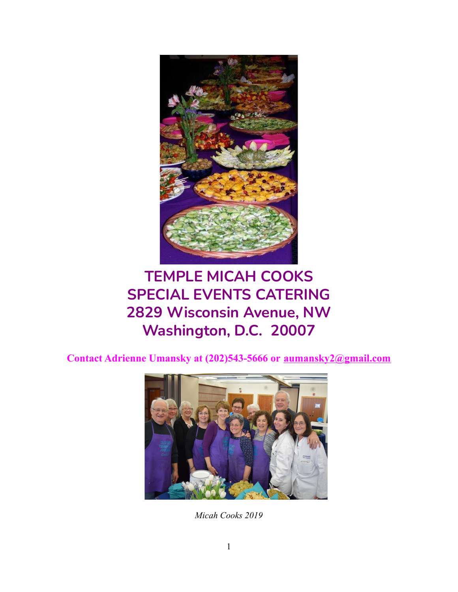

# **TEMPLE MICAH COOKS SPECIAL EVENTS CATERING 2829 Wisconsin Avenue, NW Washington, D.C. 20007**

**Contact Adrienne Umansky at (202)543-5666 or [aumansky2@gmail.com](mailto:aumansky2@gmail.com)**



*Micah Cooks 2019*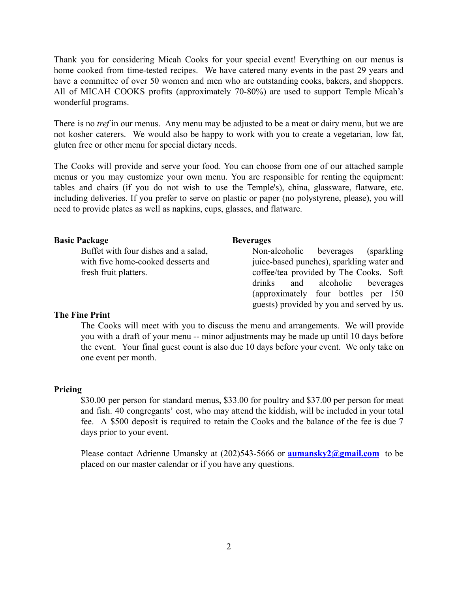Thank you for considering Micah Cooks for your special event! Everything on our menus is home cooked from time-tested recipes. We have catered many events in the past 29 years and have a committee of over 50 women and men who are outstanding cooks, bakers, and shoppers. All of MICAH COOKS profits (approximately 70-80%) are used to support Temple Micah's wonderful programs.

There is no *tref* in our menus. Any menu may be adjusted to be a meat or dairy menu, but we are not kosher caterers. We would also be happy to work with you to create a vegetarian, low fat, gluten free or other menu for special dietary needs.

The Cooks will provide and serve your food. You can choose from one of our attached sample menus or you may customize your own menu. You are responsible for renting the equipment: tables and chairs (if you do not wish to use the Temple's), china, glassware, flatware, etc. including deliveries. If you prefer to serve on plastic or paper (no polystyrene, please), you will need to provide plates as well as napkins, cups, glasses, and flatware.

## **Basic Package**

Buffet with four dishes and a salad, with five home-cooked desserts and fresh fruit platters.

#### **Beverages**

Non-alcoholic beverages (sparkling juice-based punches), sparkling water and coffee/tea provided by The Cooks. Soft drinks and alcoholic beverages (approximately four bottles per 150 guests) provided by you and served by us.

## **The Fine Print**

The Cooks will meet with you to discuss the menu and arrangements. We will provide you with a draft of your menu -- minor adjustments may be made up until 10 days before the event. Your final guest count is also due 10 days before your event. We only take on one event per month.

#### **Pricing**

\$30.00 per person for standard menus, \$33.00 for poultry and \$37.00 per person for meat and fish. 40 congregants' cost, who may attend the kiddish, will be included in your total fee. A \$500 deposit is required to retain the Cooks and the balance of the fee is due 7 days prior to your event.

Please contact Adrienne Umansky at (202)543-5666 or **[aumansky2@gmail.com](mailto:aumansky2@gmail.com)** to be placed on our master calendar or if you have any questions.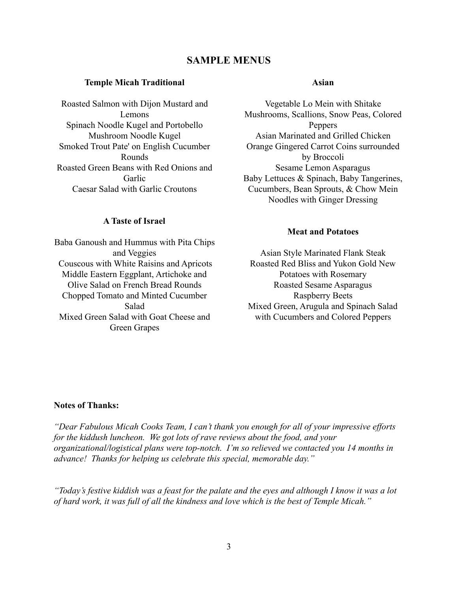# **SAMPLE MENUS**

#### **Temple Micah Traditional**

Roasted Salmon with Dijon Mustard and Lemons Spinach Noodle Kugel and Portobello Mushroom Noodle Kugel Smoked Trout Pate' on English Cucumber Rounds Roasted Green Beans with Red Onions and Garlic Caesar Salad with Garlic Croutons

#### **A Taste of Israel**

Baba Ganoush and Hummus with Pita Chips and Veggies Couscous with White Raisins and Apricots Middle Eastern Eggplant, Artichoke and Olive Salad on French Bread Rounds Chopped Tomato and Minted Cucumber Salad Mixed Green Salad with Goat Cheese and Green Grapes

#### **Asian**

Vegetable Lo Mein with Shitake Mushrooms, Scallions, Snow Peas, Colored Peppers Asian Marinated and Grilled Chicken Orange Gingered Carrot Coins surrounded by Broccoli Sesame Lemon Asparagus Baby Lettuces & Spinach, Baby Tangerines, Cucumbers, Bean Sprouts, & Chow Mein Noodles with Ginger Dressing

## **Meat and Potatoes**

Asian Style Marinated Flank Steak Roasted Red Bliss and Yukon Gold New Potatoes with Rosemary Roasted Sesame Asparagus Raspberry Beets Mixed Green, Arugula and Spinach Salad with Cucumbers and Colored Peppers

## **Notes of Thanks:**

*"Dear Fabulous Micah Cooks Team, I can't thank you enough for all of your impressive efforts for the kiddush luncheon. We got lots of rave reviews about the food, and your organizational/logistical plans were top-notch. I'm so relieved we contacted you 14 months in advance! Thanks for helping us celebrate this special, memorable day."*

*"Today's festive kiddish was a feast for the palate and the eyes and although I know it was a lot of hard work, it was full of all the kindness and love which is the best of Temple Micah."*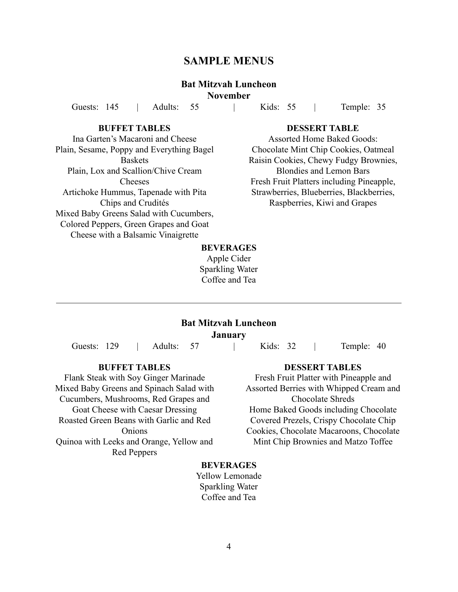# **SAMPLE MENUS**

# **Bat Mitzvah Luncheon**

**November**

Guests: 145 | Adults: 55 | Kids: 55 | Temple: 35

## **BUFFET TABLES**

Ina Garten's Macaroni and Cheese Plain, Sesame, Poppy and Everything Bagel Baskets Plain, Lox and Scallion/Chive Cream Cheeses Artichoke Hummus, Tapenade with Pita Chips and Crudités Mixed Baby Greens Salad with Cucumbers, Colored Peppers, Green Grapes and Goat Cheese with a Balsamic Vinaigrette

## **DESSERT TABLE**

Assorted Home Baked Goods: Chocolate Mint Chip Cookies, Oatmeal Raisin Cookies, Chewy Fudgy Brownies, Blondies and Lemon Bars Fresh Fruit Platters including Pineapple, Strawberries, Blueberries, Blackberries, Raspberries, Kiwi and Grapes

## **BEVERAGES**

Apple Cider Sparkling Water Coffee and Tea

#### **Bat Mitzvah Luncheon**

**January**

Guests: 129 | Adults: 57 | Kids: 32 | Temple: 40

#### **BUFFET TABLES**

Flank Steak with Soy Ginger Marinade Mixed Baby Greens and Spinach Salad with Cucumbers, Mushrooms, Red Grapes and Goat Cheese with Caesar Dressing Roasted Green Beans with Garlic and Red **Onions** Quinoa with Leeks and Orange, Yellow and Red Peppers

#### **DESSERT TABLES**

Fresh Fruit Platter with Pineapple and Assorted Berries with Whipped Cream and Chocolate Shreds Home Baked Goods including Chocolate Covered Prezels, Crispy Chocolate Chip Cookies, Chocolate Macaroons, Chocolate Mint Chip Brownies and Matzo Toffee

## **BEVERAGES**

Yellow Lemonade Sparkling Water Coffee and Tea